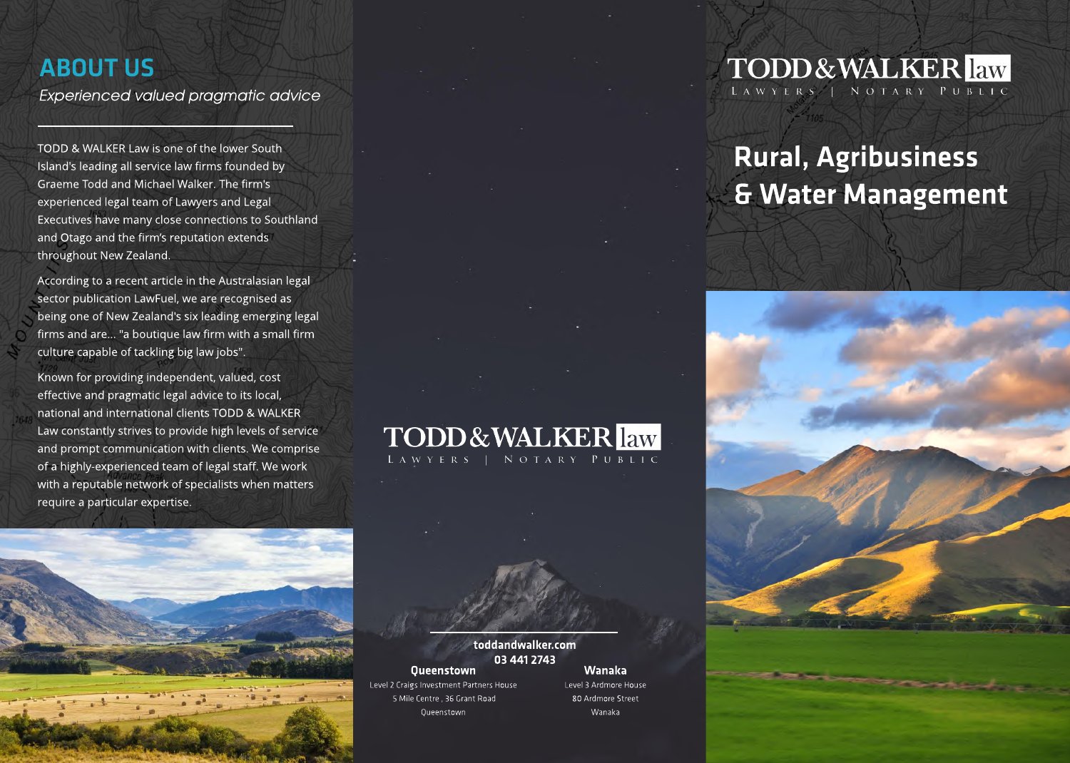## ABOUT US

**Experienced valued pragmatic advice**

TODD & WALKER Law is one of the lower South Island's leading all service law firms founded by Graeme Todd and Michael Walker. The firm's experienced legal team of Lawyers and Legal Executives have many close connections to Southland and Otago and the firm's reputation extends throughout New Zealand.

According to a recent article in the Australasian legal sector publication LawFuel, we are recognised as being one of New Zealand's six leading emerging legal firms and are... "a boutique law firm with a small firm culture capable of tackling big law jobs".

Known for providing independent, valued, cost effective and pragmatic legal advice to its local, national and international clients TODD & WALKER Law constantly strives to provide high levels of service and prompt communication with clients. We comprise of a highly-experienced team of legal staff. We work with a reputable network of specialists when matters require a particular expertise.



**TODD&WALKER** law NOTARY PUBLIC

## toddandwalker.com 034412743

### Queenstown Level 2 Craigs Investment Partners House 5 Mile Centre, 36 Grant Road

**Queenstown** 

### Wanaka Level 3 Ardmore House

80 Ardmore Street Wanaka

## **TODD&WALKER** law LAWYERS | NOTARY PUBLIC

# Rural, Agribusiness & Water Management